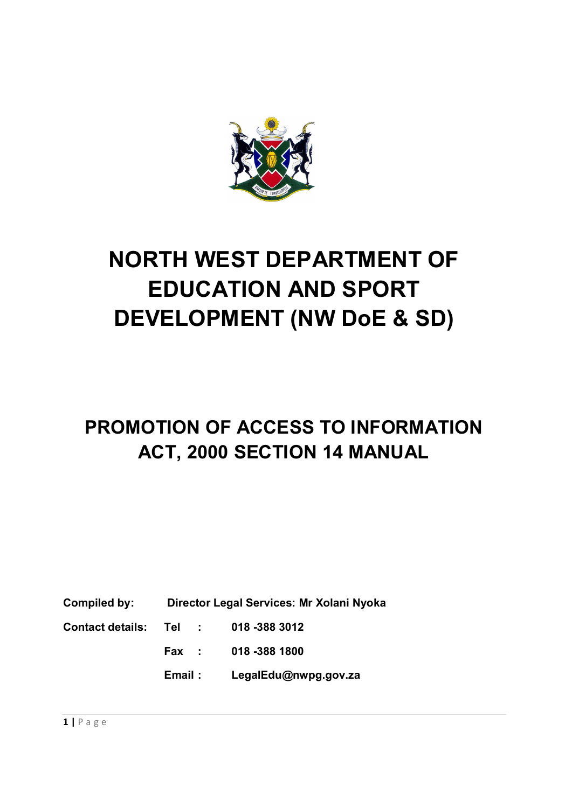

# **NORTH WEST DEPARTMENT OF EDUCATION AND SPORT DEVELOPMENT (NW DoE & SD)**

# **PROMOTION OF ACCESS TO INFORMATION ACT, 2000 SECTION 14 MANUAL**

**Compiled by: Director Legal Services: Mr Xolani Nyoka**

**Contact details: Tel : 018 -388 3012**

**Fax : 018 -388 1800**

**Email : LegalEdu@nwpg.gov.za**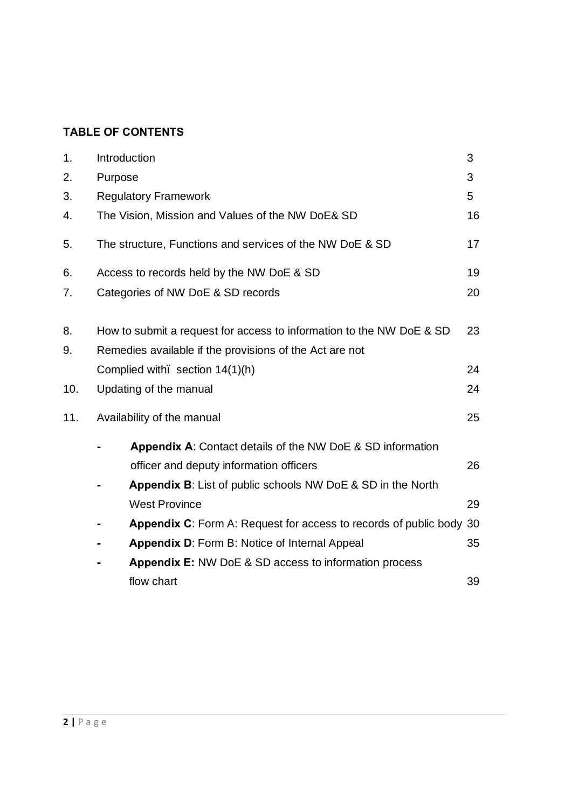## **TABLE OF CONTENTS**

| 1.  | Introduction |                                                                         | 3  |
|-----|--------------|-------------------------------------------------------------------------|----|
| 2.  | Purpose      |                                                                         | 3  |
| 3.  |              | <b>Regulatory Framework</b>                                             | 5  |
| 4.  |              | The Vision, Mission and Values of the NW DoE& SD                        | 16 |
| 5.  |              | The structure, Functions and services of the NW DoE & SD                | 17 |
| 6.  |              | Access to records held by the NW DoE & SD                               | 19 |
| 7.  |              | Categories of NW DoE & SD records                                       | 20 |
| 8.  |              | How to submit a request for access to information to the NW DoE & SD    | 23 |
| 9.  |              | Remedies available if the provisions of the Act are not                 |    |
|     |              | Complied with. section 14(1)(h)                                         | 24 |
| 10. |              | Updating of the manual                                                  | 24 |
| 11. |              | Availability of the manual                                              | 25 |
|     |              | Appendix A: Contact details of the NW DoE & SD information              |    |
|     |              | officer and deputy information officers                                 | 26 |
|     |              | <b>Appendix B:</b> List of public schools NW DoE & SD in the North      |    |
|     |              | <b>West Province</b>                                                    | 29 |
|     |              | <b>Appendix C:</b> Form A: Request for access to records of public body | 30 |
|     |              | <b>Appendix D: Form B: Notice of Internal Appeal</b>                    | 35 |
|     |              | <b>Appendix E: NW DoE &amp; SD access to information process</b>        |    |
|     |              | flow chart                                                              | 39 |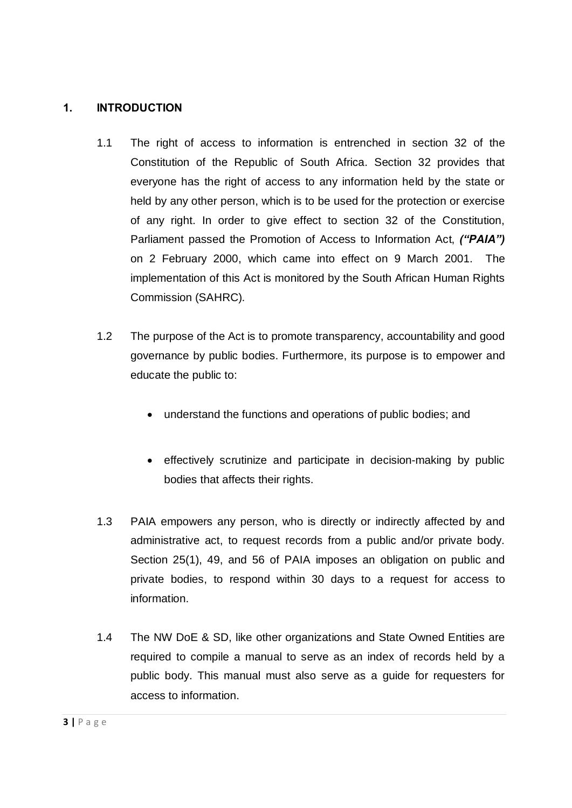#### **1. INTRODUCTION**

- 1.1 The right of access to information is entrenched in section 32 of the Constitution of the Republic of South Africa. Section 32 provides that everyone has the right of access to any information held by the state or held by any other person, which is to be used for the protection or exercise of any right. In order to give effect to section 32 of the Constitution, Parliament passed the Promotion of Access to Information Act, *("PAIA")* on 2 February 2000, which came into effect on 9 March 2001. The implementation of this Act is monitored by the South African Human Rights Commission (SAHRC).
- 1.2 The purpose of the Act is to promote transparency, accountability and good governance by public bodies. Furthermore, its purpose is to empower and educate the public to:
	- · understand the functions and operations of public bodies; and
	- effectively scrutinize and participate in decision-making by public bodies that affects their rights.
- 1.3 PAIA empowers any person, who is directly or indirectly affected by and administrative act, to request records from a public and/or private body. Section 25(1), 49, and 56 of PAIA imposes an obligation on public and private bodies, to respond within 30 days to a request for access to information.
- 1.4 The NW DoE & SD, like other organizations and State Owned Entities are required to compile a manual to serve as an index of records held by a public body. This manual must also serve as a guide for requesters for access to information.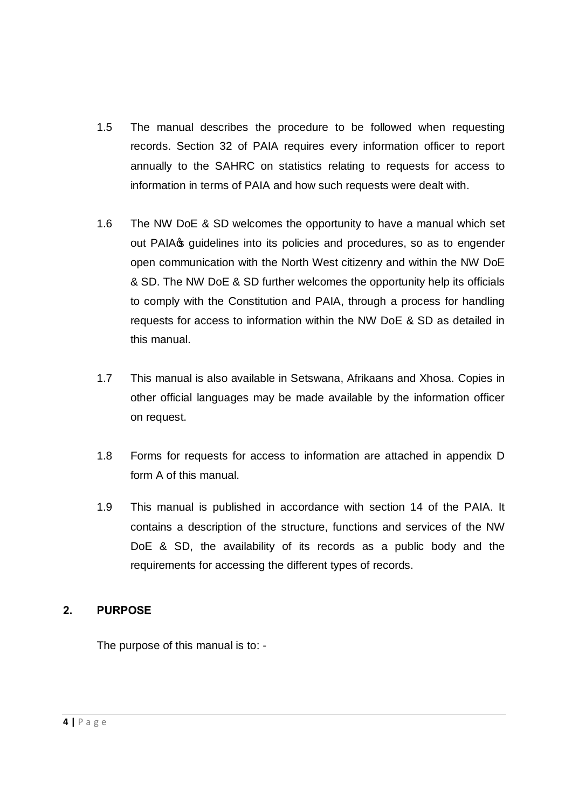- 1.5 The manual describes the procedure to be followed when requesting records. Section 32 of PAIA requires every information officer to report annually to the SAHRC on statistics relating to requests for access to information in terms of PAIA and how such requests were dealt with.
- 1.6 The NW DoE & SD welcomes the opportunity to have a manual which set out PAIA<sub>S</sub> guidelines into its policies and procedures, so as to engender open communication with the North West citizenry and within the NW DoE & SD. The NW DoE & SD further welcomes the opportunity help its officials to comply with the Constitution and PAIA, through a process for handling requests for access to information within the NW DoE & SD as detailed in this manual.
- 1.7 This manual is also available in Setswana, Afrikaans and Xhosa. Copies in other official languages may be made available by the information officer on request.
- 1.8 Forms for requests for access to information are attached in appendix D form A of this manual.
- 1.9 This manual is published in accordance with section 14 of the PAIA. It contains a description of the structure, functions and services of the NW DoE & SD, the availability of its records as a public body and the requirements for accessing the different types of records.

#### **2. PURPOSE**

The purpose of this manual is to: -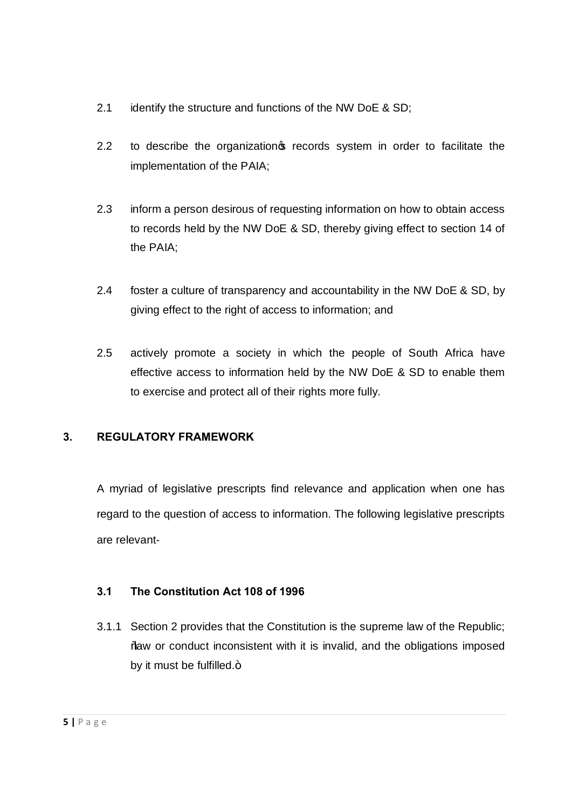- 2.1 identify the structure and functions of the NW DoE & SD;
- 2.2 to describe the organization precords system in order to facilitate the implementation of the PAIA;
- 2.3 inform a person desirous of requesting information on how to obtain access to records held by the NW DoE & SD, thereby giving effect to section 14 of the PAIA;
- 2.4 foster a culture of transparency and accountability in the NW DoE & SD, by giving effect to the right of access to information; and
- 2.5 actively promote a society in which the people of South Africa have effective access to information held by the NW DoE & SD to enable them to exercise and protect all of their rights more fully.

## **3. REGULATORY FRAMEWORK**

A myriad of legislative prescripts find relevance and application when one has regard to the question of access to information. The following legislative prescripts are relevant-

## **3.1 The Constitution Act 108 of 1996**

3.1.1 Section 2 provides that the Constitution is the supreme law of the Republic; "law or conduct inconsistent with it is invalid, and the obligations imposed by it must be fulfilled. $+$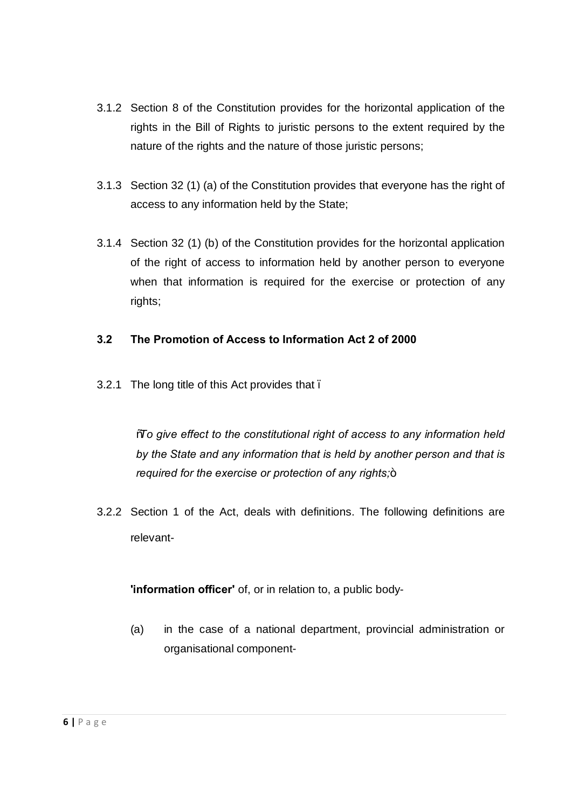- 3.1.2 Section 8 of the Constitution provides for the horizontal application of the rights in the Bill of Rights to juristic persons to the extent required by the nature of the rights and the nature of those juristic persons;
- 3.1.3 Section 32 (1) (a) of the Constitution provides that everyone has the right of access to any information held by the State;
- 3.1.4 Section 32 (1) (b) of the Constitution provides for the horizontal application of the right of access to information held by another person to everyone when that information is required for the exercise or protection of any rights;

#### **3.2 The Promotion of Access to Information Act 2 of 2000**

3.2.1 The long title of this Act provides that.

"*To give effect to the constitutional right of access to any information held by the State and any information that is held by another person and that is required for the exercise or protection of any rights*;+

3.2.2 Section 1 of the Act, deals with definitions. The following definitions are relevant-

**'information officer'** of, or in relation to, a public body-

(a) in the case of a national department, provincial administration or organisational component-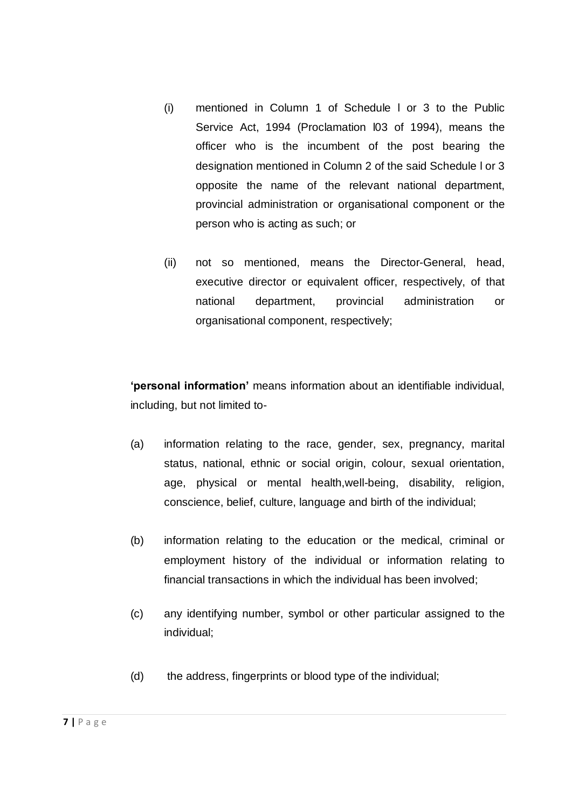- (i) mentioned in Column 1 of Schedule l or 3 to the Public Service Act, 1994 (Proclamation l03 of 1994), means the officer who is the incumbent of the post bearing the designation mentioned in Column 2 of the said Schedule l or 3 opposite the name of the relevant national department, provincial administration or organisational component or the person who is acting as such; or
- (ii) not so mentioned, means the Director-General, head, executive director or equivalent officer, respectively, of that national department, provincial administration or organisational component, respectively;

**'personal information'** means information about an identifiable individual, including, but not limited to-

- (a) information relating to the race, gender, sex, pregnancy, marital status, national, ethnic or social origin, colour, sexual orientation, age, physical or mental health,well-being, disability, religion, conscience, belief, culture, language and birth of the individual;
- (b) information relating to the education or the medical, criminal or employment history of the individual or information relating to financial transactions in which the individual has been involved;
- (c) any identifying number, symbol or other particular assigned to the individual;
- (d) the address, fingerprints or blood type of the individual;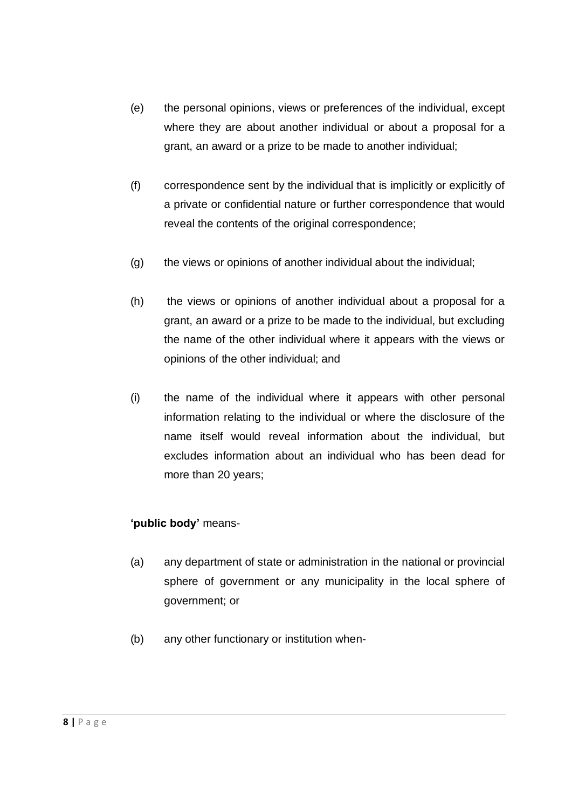- (e) the personal opinions, views or preferences of the individual, except where they are about another individual or about a proposal for a grant, an award or a prize to be made to another individual;
- (f) correspondence sent by the individual that is implicitly or explicitly of a private or confidential nature or further correspondence that would reveal the contents of the original correspondence;
- (g) the views or opinions of another individual about the individual;
- (h) the views or opinions of another individual about a proposal for a grant, an award or a prize to be made to the individual, but excluding the name of the other individual where it appears with the views or opinions of the other individual; and
- (i) the name of the individual where it appears with other personal information relating to the individual or where the disclosure of the name itself would reveal information about the individual, but excludes information about an individual who has been dead for more than 20 years;

## **'public body'** means-

- (a) any department of state or administration in the national or provincial sphere of government or any municipality in the local sphere of government; or
- (b) any other functionary or institution when-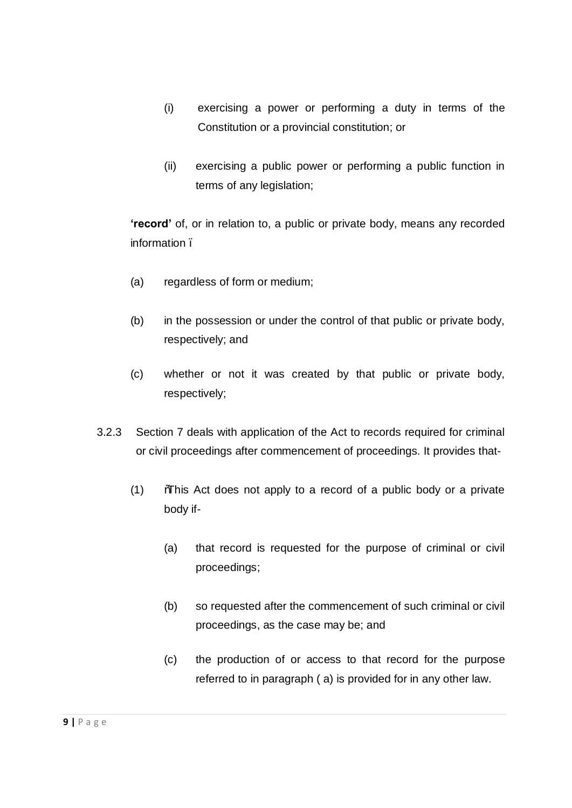- (i) exercising a power or performing a duty in terms of the Constitution or a provincial constitution; or
- (ii) exercising a public power or performing a public function in terms of any legislation;

**'record'** of, or in relation to, a public or private body, means any recorded information –

- (a) regardless of form or medium;
- (b) in the possession or under the control of that public or private body, respectively; and
- (c) whether or not it was created by that public or private body, respectively;
- 3.2.3 Section 7 deals with application of the Act to records required for criminal or civil proceedings after commencement of proceedings. It provides that-
	- (1) "This Act does not apply to a record of a public body or a private body if-
		- (a) that record is requested for the purpose of criminal or civil proceedings;
		- (b) so requested after the commencement of such criminal or civil proceedings, as the case may be; and
		- (c) the production of or access to that record for the purpose referred to in paragraph ( a) is provided for in any other law.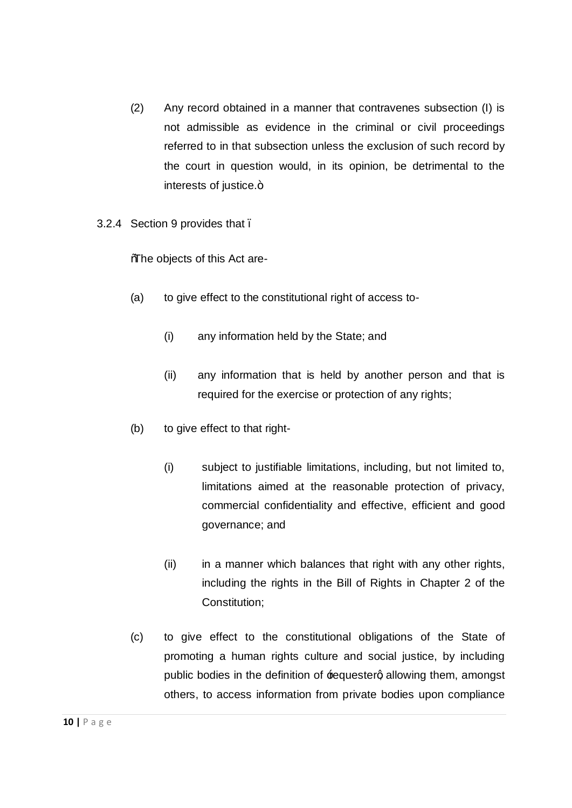- (2) Any record obtained in a manner that contravenes subsection (I) is not admissible as evidence in the criminal or civil proceedings referred to in that subsection unless the exclusion of such record by the court in question would, in its opinion, be detrimental to the interests of justice.+
- 3.2.4 Section 9 provides that.

"The objects of this Act are-

- (a) to give effect to the constitutional right of access to-
	- (i) any information held by the State; and
	- (ii) any information that is held by another person and that is required for the exercise or protection of any rights;
- (b) to give effect to that right-
	- (i) subject to justifiable limitations, including, but not limited to, limitations aimed at the reasonable protection of privacy, commercial confidentiality and effective, efficient and good governance; and
	- (ii) in a manner which balances that right with any other rights, including the rights in the Bill of Rights in Chapter 2 of the Constitution;
- (c) to give effect to the constitutional obligations of the State of promoting a human rights culture and social justice, by including public bodies in the definition of **requesterg allowing them, amongst** others, to access information from private bodies upon compliance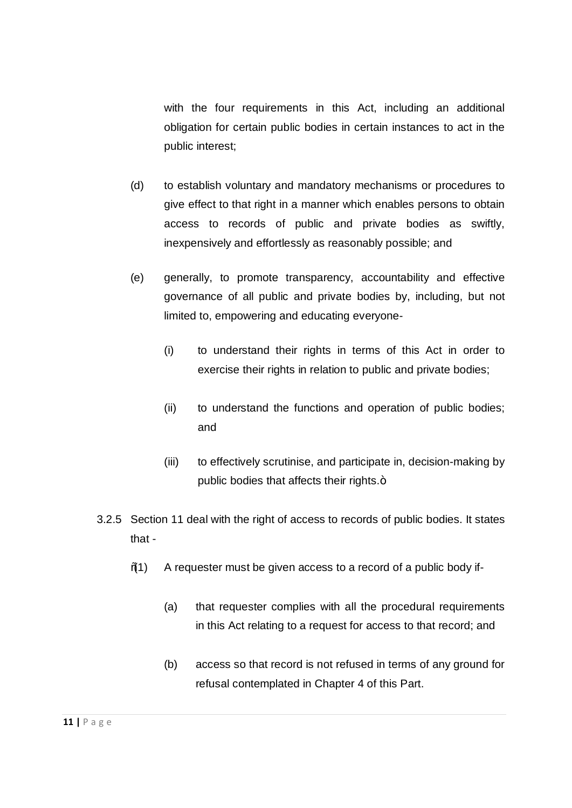with the four requirements in this Act, including an additional obligation for certain public bodies in certain instances to act in the public interest;

- (d) to establish voluntary and mandatory mechanisms or procedures to give effect to that right in a manner which enables persons to obtain access to records of public and private bodies as swiftly, inexpensively and effortlessly as reasonably possible; and
- (e) generally, to promote transparency, accountability and effective governance of all public and private bodies by, including, but not limited to, empowering and educating everyone-
	- (i) to understand their rights in terms of this Act in order to exercise their rights in relation to public and private bodies;
	- (ii) to understand the functions and operation of public bodies; and
	- (iii) to effectively scrutinise, and participate in, decision-making by public bodies that affects their rights.+
- 3.2.5 Section 11 deal with the right of access to records of public bodies. It states that -
	- "(1) A requester must be given access to a record of a public body if-
		- (a) that requester complies with all the procedural requirements in this Act relating to a request for access to that record; and
		- (b) access so that record is not refused in terms of any ground for refusal contemplated in Chapter 4 of this Part.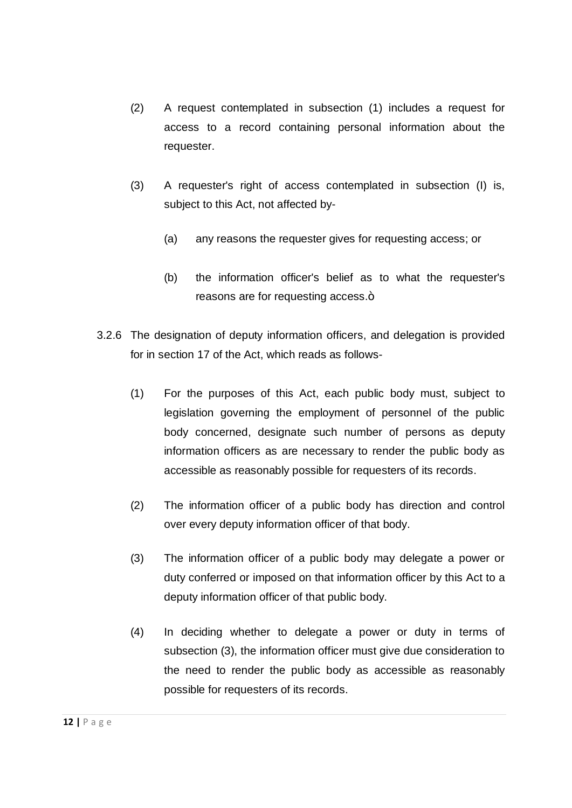- (2) A request contemplated in subsection (1) includes a request for access to a record containing personal information about the requester.
- (3) A requester's right of access contemplated in subsection (I) is, subject to this Act, not affected by-
	- (a) any reasons the requester gives for requesting access; or
	- (b) the information officer's belief as to what the requester's reasons are for requesting access.+
- 3.2.6 The designation of deputy information officers, and delegation is provided for in section 17 of the Act, which reads as follows-
	- (1) For the purposes of this Act, each public body must, subject to legislation governing the employment of personnel of the public body concerned, designate such number of persons as deputy information officers as are necessary to render the public body as accessible as reasonably possible for requesters of its records.
	- (2) The information officer of a public body has direction and control over every deputy information officer of that body.
	- (3) The information officer of a public body may delegate a power or duty conferred or imposed on that information officer by this Act to a deputy information officer of that public body.
	- (4) In deciding whether to delegate a power or duty in terms of subsection (3), the information officer must give due consideration to the need to render the public body as accessible as reasonably possible for requesters of its records.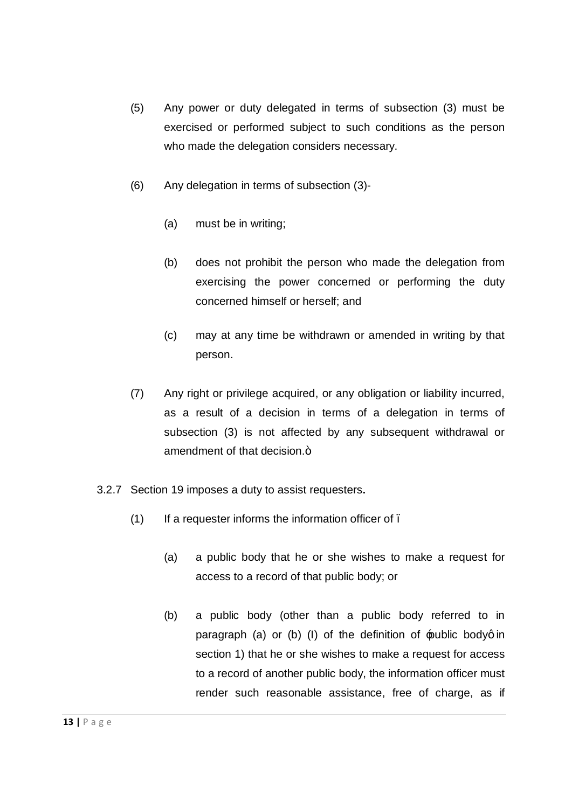- (5) Any power or duty delegated in terms of subsection (3) must be exercised or performed subject to such conditions as the person who made the delegation considers necessary.
- (6) Any delegation in terms of subsection (3)-
	- (a) must be in writing;
	- (b) does not prohibit the person who made the delegation from exercising the power concerned or performing the duty concerned himself or herself; and
	- (c) may at any time be withdrawn or amended in writing by that person.
- (7) Any right or privilege acquired, or any obligation or liability incurred, as a result of a decision in terms of a delegation in terms of subsection (3) is not affected by any subsequent withdrawal or amendment of that decision.+
- 3.2.7 Section 19 imposes a duty to assist requesters**.** 
	- $(1)$  If a requester informs the information officer of .
		- (a) a public body that he or she wishes to make a request for access to a record of that public body; or
		- (b) a public body (other than a public body referred to in paragraph (a) or (b) (I) of the definition of  $\triangle$ public bodyg in section 1) that he or she wishes to make a request for access to a record of another public body, the information officer must render such reasonable assistance, free of charge, as if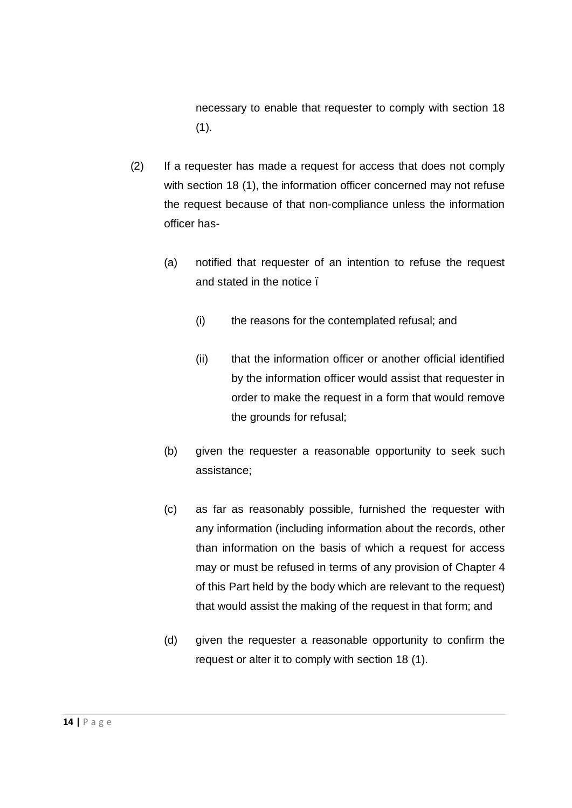necessary to enable that requester to comply with section 18  $(1).$ 

- (2) If a requester has made a request for access that does not comply with section 18 (1), the information officer concerned may not refuse the request because of that non-compliance unless the information officer has-
	- (a) notified that requester of an intention to refuse the request and stated in the notice.
		- (i) the reasons for the contemplated refusal; and
		- (ii) that the information officer or another official identified by the information officer would assist that requester in order to make the request in a form that would remove the grounds for refusal;
	- (b) given the requester a reasonable opportunity to seek such assistance;
	- (c) as far as reasonably possible, furnished the requester with any information (including information about the records, other than information on the basis of which a request for access may or must be refused in terms of any provision of Chapter 4 of this Part held by the body which are relevant to the request) that would assist the making of the request in that form; and
	- (d) given the requester a reasonable opportunity to confirm the request or alter it to comply with section 18 (1).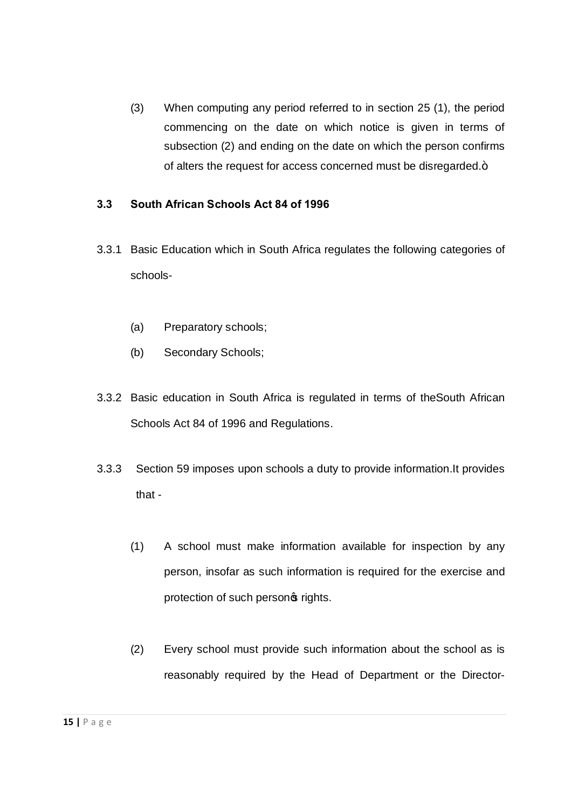(3) When computing any period referred to in section 25 (1), the period commencing on the date on which notice is given in terms of subsection (2) and ending on the date on which the person confirms of alters the request for access concerned must be disregarded.+

#### **3.3 South African Schools Act 84 of 1996**

- 3.3.1 Basic Education which in South Africa regulates the following categories of schools-
	- (a) Preparatory schools;
	- (b) Secondary Schools;
- 3.3.2 Basic education in South Africa is regulated in terms of theSouth African Schools Act 84 of 1996 and Regulations.
- 3.3.3 Section 59 imposes upon schools a duty to provide information.It provides that -
	- (1) A school must make information available for inspection by any person, insofar as such information is required for the exercise and protection of such personos rights.
	- (2) Every school must provide such information about the school as is reasonably required by the Head of Department or the Director-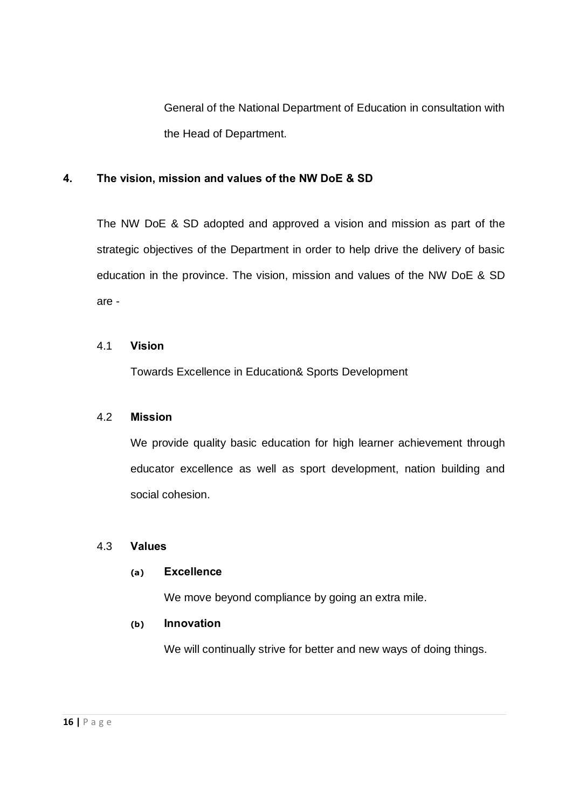General of the National Department of Education in consultation with the Head of Department.

#### **4. The vision, mission and values of the NW DoE & SD**

The NW DoE & SD adopted and approved a vision and mission as part of the strategic objectives of the Department in order to help drive the delivery of basic education in the province. The vision, mission and values of the NW DoE & SD are -

#### 4.1 **Vision**

Towards Excellence in Education& Sports Development

#### 4.2 **Mission**

We provide quality basic education for high learner achievement through educator excellence as well as sport development, nation building and social cohesion.

## 4.3 **Values**

#### **(a) Excellence**

We move beyond compliance by going an extra mile.

#### **(b) Innovation**

We will continually strive for better and new ways of doing things.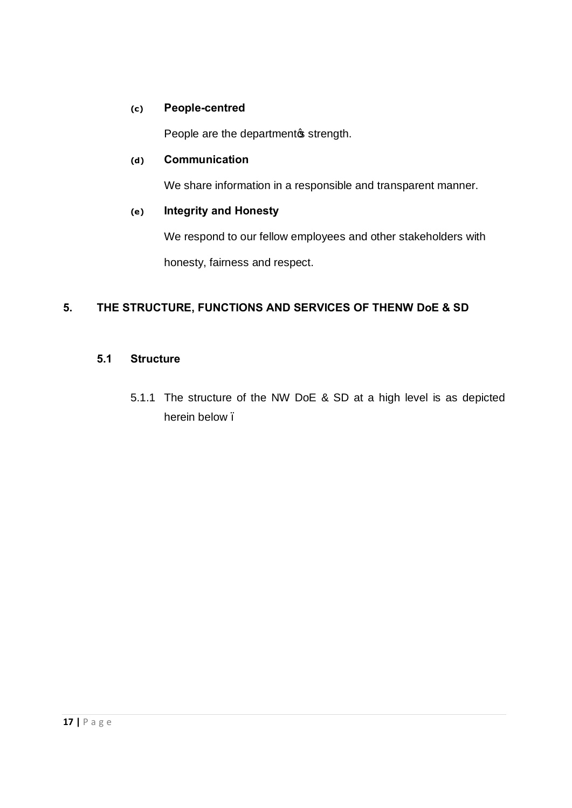#### **(c) People-centred**

People are the department w strength.

#### **(d) Communication**

We share information in a responsible and transparent manner.

#### **(e) Integrity and Honesty**

We respond to our fellow employees and other stakeholders with honesty, fairness and respect.

## **5. THE STRUCTURE, FUNCTIONS AND SERVICES OF THENW DoE & SD**

#### **5.1 Structure**

5.1.1 The structure of the NW DoE & SD at a high level is as depicted herein below.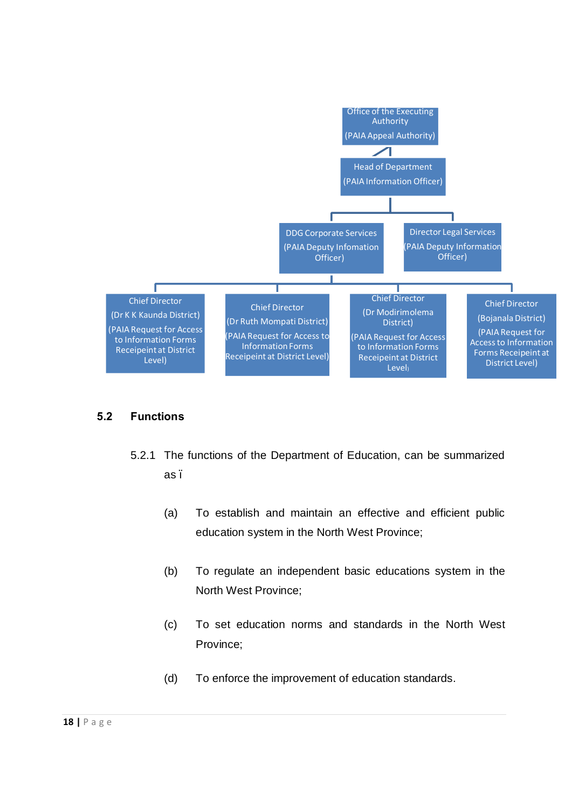

#### **5.2 Functions**

- 5.2.1 The functions of the Department of Education, can be summarized as –
	- (a) To establish and maintain an effective and efficient public education system in the North West Province;
	- (b) To regulate an independent basic educations system in the North West Province;
	- (c) To set education norms and standards in the North West Province;
	- (d) To enforce the improvement of education standards.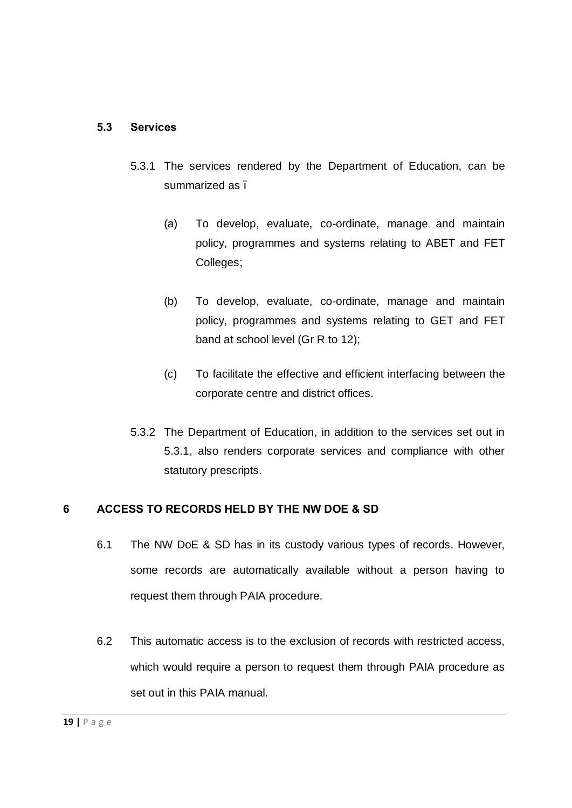#### **5.3 Services**

- 5.3.1 The services rendered by the Department of Education, can be summarized as .
	- (a) To develop, evaluate, co-ordinate, manage and maintain policy, programmes and systems relating to ABET and FET Colleges;
	- (b) To develop, evaluate, co-ordinate, manage and maintain policy, programmes and systems relating to GET and FET band at school level (Gr R to 12);
	- (c) To facilitate the effective and efficient interfacing between the corporate centre and district offices.
- 5.3.2 The Department of Education, in addition to the services set out in 5.3.1, also renders corporate services and compliance with other statutory prescripts.

## **6 ACCESS TO RECORDS HELD BY THE NW DOE & SD**

- 6.1 The NW DoE & SD has in its custody various types of records. However, some records are automatically available without a person having to request them through PAIA procedure.
- 6.2 This automatic access is to the exclusion of records with restricted access, which would require a person to request them through PAIA procedure as set out in this PAIA manual.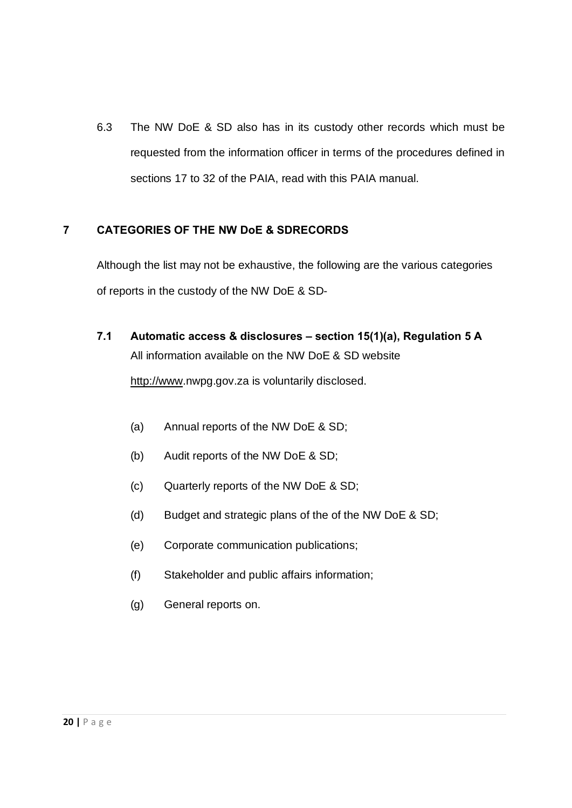6.3 The NW DoE & SD also has in its custody other records which must be requested from the information officer in terms of the procedures defined in sections 17 to 32 of the PAIA, read with this PAIA manual.

## **7 CATEGORIES OF THE NW DoE & SDRECORDS**

Although the list may not be exhaustive, the following are the various categories of reports in the custody of the NW DoE & SD-

- **7.1 Automatic access & disclosures – section 15(1)(a), Regulation 5 A**  [All informatio](http://www/)n available on the NW DoE & SD website http://www.nwpg.gov.za is voluntarily disclosed.
	- (a) Annual reports of the NW DoE & SD;
	- (b) Audit reports of the NW DoE & SD;
	- (c) Quarterly reports of the NW DoE & SD;
	- (d) Budget and strategic plans of the of the NW DoE & SD;
	- (e) Corporate communication publications;
	- (f) Stakeholder and public affairs information;
	- (g) General reports on.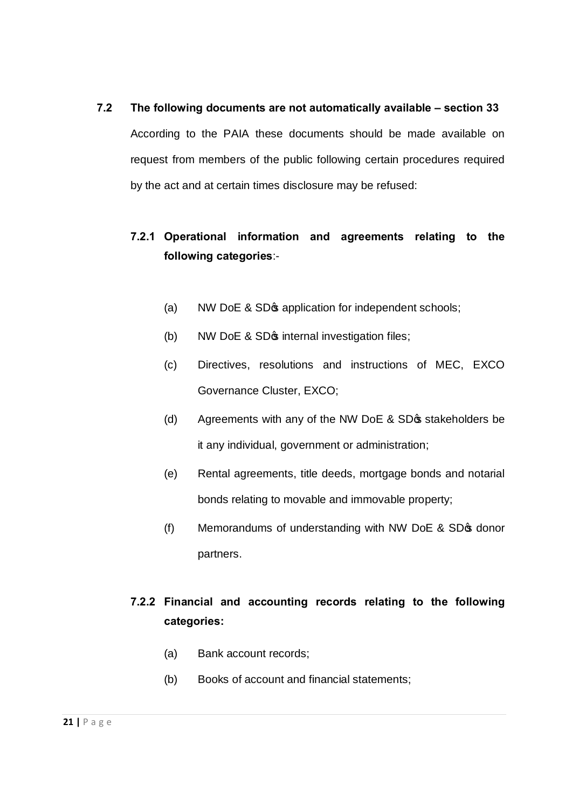# **7.2 The following documents are not automatically available – section 33**  According to the PAIA these documents should be made available on request from members of the public following certain procedures required by the act and at certain times disclosure may be refused:

## **7.2.1 Operational information and agreements relating to the following categories**:-

- (a) NW DoE & SD $\phi$  application for independent schools;
- (b) NW DoE  $&$  SD $\phi$  internal investigation files;
- (c) Directives, resolutions and instructions of MEC, EXCO Governance Cluster, EXCO;
- (d) Agreements with any of the NW DoE & SD $\phi$  stakeholders be it any individual, government or administration;
- (e) Rental agreements, title deeds, mortgage bonds and notarial bonds relating to movable and immovable property;
- (f) Memorandums of understanding with NW DoE  $&$  SD $&$  donor partners.

## **7.2.2 Financial and accounting records relating to the following categories:**

- (a) Bank account records;
- (b) Books of account and financial statements;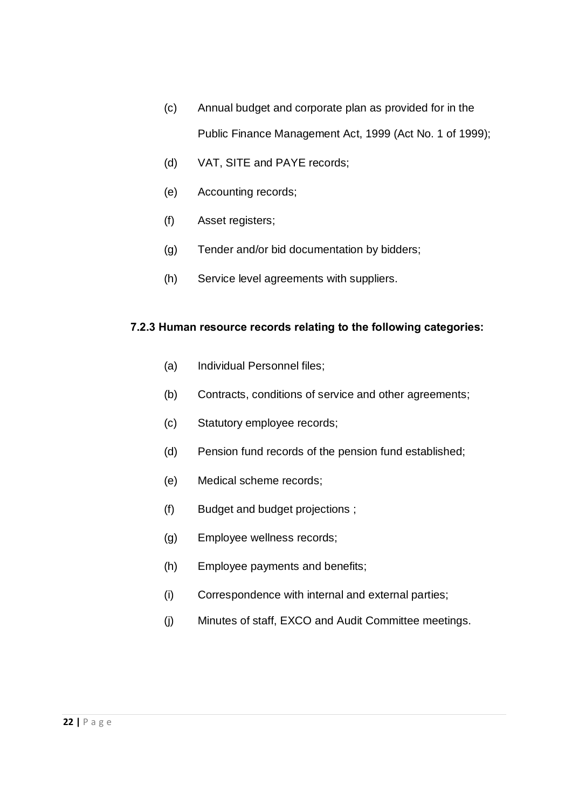- (c) Annual budget and corporate plan as provided for in the Public Finance Management Act, 1999 (Act No. 1 of 1999);
- (d) VAT, SITE and PAYE records;
- (e) Accounting records;
- (f) Asset registers;
- (g) Tender and/or bid documentation by bidders;
- (h) Service level agreements with suppliers.

#### **7.2.3 Human resource records relating to the following categories:**

- (a) Individual Personnel files;
- (b) Contracts, conditions of service and other agreements;
- (c) Statutory employee records;
- (d) Pension fund records of the pension fund established;
- (e) Medical scheme records;
- (f) Budget and budget projections ;
- (g) Employee wellness records;
- (h) Employee payments and benefits;
- (i) Correspondence with internal and external parties;
- (j) Minutes of staff, EXCO and Audit Committee meetings.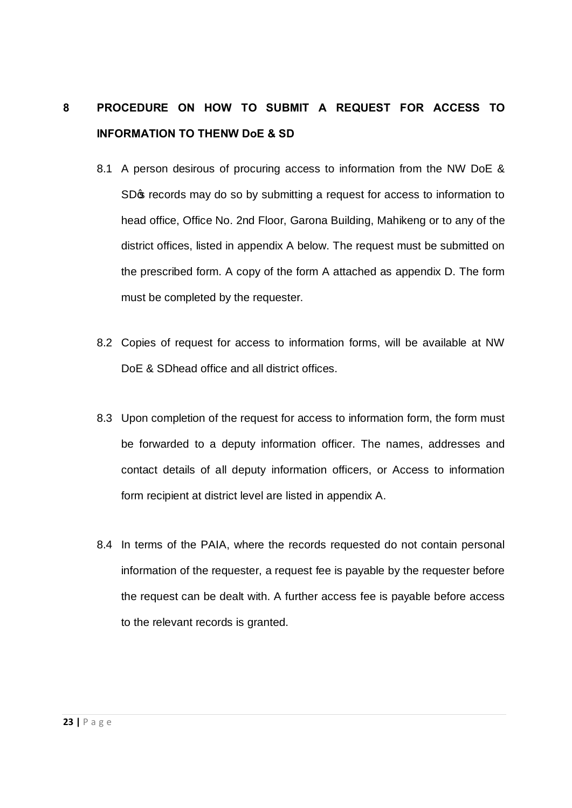# **8 PROCEDURE ON HOW TO SUBMIT A REQUEST FOR ACCESS TO INFORMATION TO THENW DoE & SD**

- 8.1 A person desirous of procuring access to information from the NW DoE & SDG records may do so by submitting a request for access to information to head office, Office No. 2nd Floor, Garona Building, Mahikeng or to any of the district offices, listed in appendix A below. The request must be submitted on the prescribed form. A copy of the form A attached as appendix D. The form must be completed by the requester.
- 8.2 Copies of request for access to information forms, will be available at NW DoE & SDhead office and all district offices.
- 8.3 Upon completion of the request for access to information form, the form must be forwarded to a deputy information officer. The names, addresses and contact details of all deputy information officers, or Access to information form recipient at district level are listed in appendix A.
- 8.4 In terms of the PAIA, where the records requested do not contain personal information of the requester, a request fee is payable by the requester before the request can be dealt with. A further access fee is payable before access to the relevant records is granted.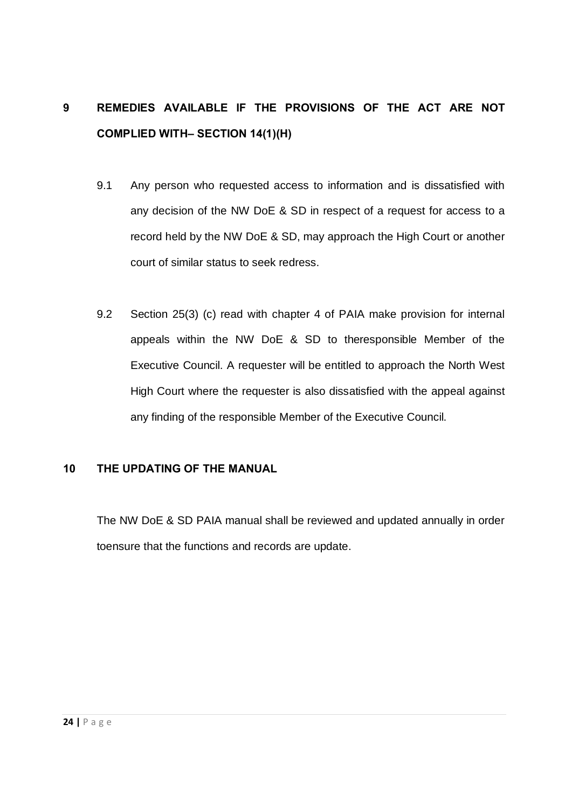# **9 REMEDIES AVAILABLE IF THE PROVISIONS OF THE ACT ARE NOT COMPLIED WITH– SECTION 14(1)(H)**

- 9.1 Any person who requested access to information and is dissatisfied with any decision of the NW DoE & SD in respect of a request for access to a record held by the NW DoE & SD, may approach the High Court or another court of similar status to seek redress.
- 9.2 Section 25(3) (c) read with chapter 4 of PAIA make provision for internal appeals within the NW DoE & SD to theresponsible Member of the Executive Council. A requester will be entitled to approach the North West High Court where the requester is also dissatisfied with the appeal against any finding of the responsible Member of the Executive Council.

#### **10 THE UPDATING OF THE MANUAL**

The NW DoE & SD PAIA manual shall be reviewed and updated annually in order toensure that the functions and records are update.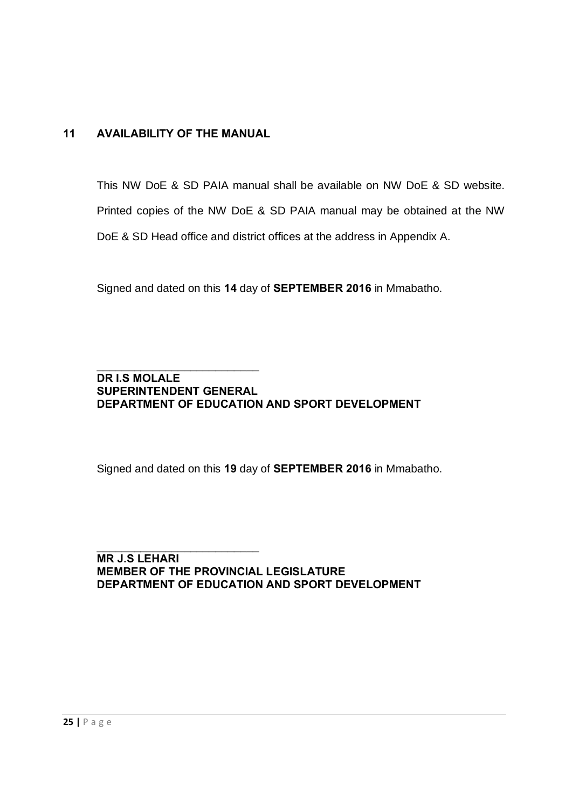## **11 AVAILABILITY OF THE MANUAL**

This NW DoE & SD PAIA manual shall be available on NW DoE & SD website. Printed copies of the NW DoE & SD PAIA manual may be obtained at the NW DoE & SD Head office and district offices at the address in Appendix A.

Signed and dated on this **14** day of **SEPTEMBER 2016** in Mmabatho.

#### \_\_\_\_\_\_\_\_\_\_\_\_\_\_\_\_\_\_\_\_\_\_\_\_\_\_ **DR I.S MOLALE SUPERINTENDENT GENERAL DEPARTMENT OF EDUCATION AND SPORT DEVELOPMENT**

Signed and dated on this **19** day of **SEPTEMBER 2016** in Mmabatho.

\_\_\_\_\_\_\_\_\_\_\_\_\_\_\_\_\_\_\_\_\_\_\_\_\_\_ **MR J.S LEHARI MEMBER OF THE PROVINCIAL LEGISLATURE DEPARTMENT OF EDUCATION AND SPORT DEVELOPMENT**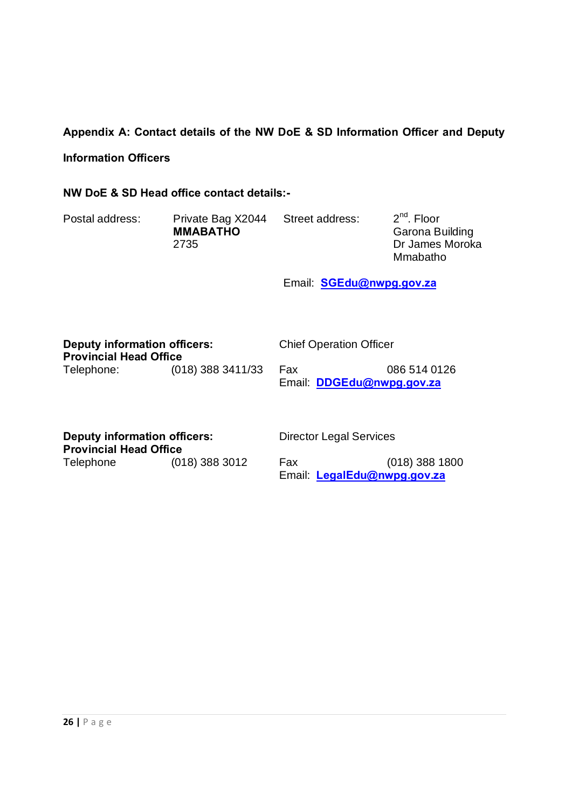### **Appendix A: Contact details of the NW DoE & SD Information Officer and Deputy**

#### **Information Officers**

#### **NW DoE & SD Head office contact details:-**

| Postal address: | Private Bag X2044<br><b>MMABATHO</b><br>2735 | Street address: | 2 <sup>nd</sup> , Floor<br>Garona Building<br>Dr James Moroka |
|-----------------|----------------------------------------------|-----------------|---------------------------------------------------------------|
|                 |                                              |                 | Mmabatho                                                      |

Email: **SGEdu@nwpg.gov.za**

| <b>Deputy information officers:</b><br><b>Provincial Head Office</b> |                     | <b>Chief Operation Officer</b> |                                           |
|----------------------------------------------------------------------|---------------------|--------------------------------|-------------------------------------------|
| Telephone:                                                           | $(018)$ 388 3411/33 | Fax                            | 086 514 0126<br>Email: DDGEdu@nwpg.gov.za |

**Deputy information officers: Provincial Head Office**<br>Telephone (018) 388 3012 Director Legal Services

Fax [\(018\) 388 1800](mailto:LegalEdu@nwpg.gov.za) Email: **LegalEdu@nwpg.gov.za**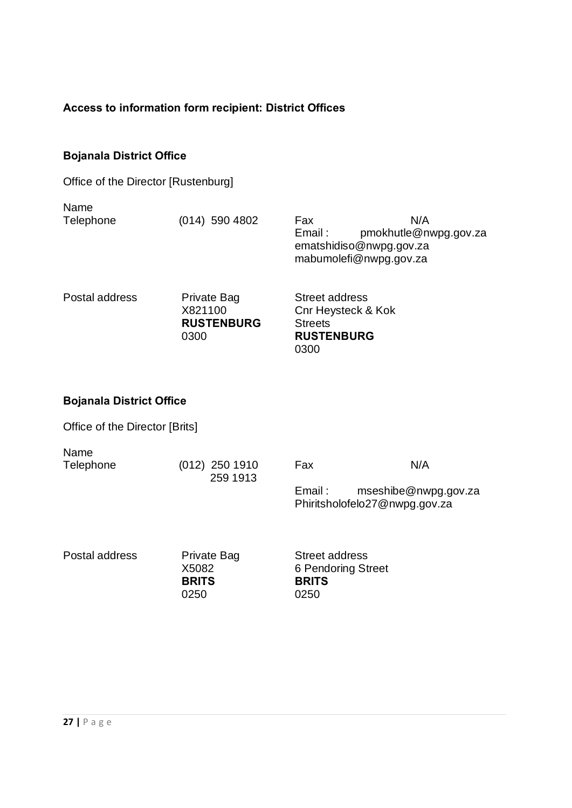## **Access to information form recipient: District Offices**

0300

## **Bojanala District Office**

| Office of the Director [Rustenburg] |  |
|-------------------------------------|--|
|-------------------------------------|--|

| Name           |                                             |                                                                                                    |
|----------------|---------------------------------------------|----------------------------------------------------------------------------------------------------|
| Telephone      | $(014)$ 590 4802                            | N/A<br>Fax<br>pmokhutle@nwpg.gov.za<br>Email:<br>ematshidiso@nwpg.gov.za<br>mabumolefi@nwpg.gov.za |
| Postal address | Private Bag<br>X821100<br><b>RUSTENBURG</b> | <b>Street address</b><br><b>Cnr Heysteck &amp; Kok</b><br><b>Streets</b>                           |

## **Bojanala District Office**

Office of the Director [Brits]

| Name      |                  |         |                               |
|-----------|------------------|---------|-------------------------------|
| Telephone | $(012)$ 250 1910 | Fax     | N/A                           |
|           | 259 1913         |         |                               |
|           |                  | Email : | mseshibe@nwpg.gov.za          |
|           |                  |         | Phiritsholofelo27@nwpg.gov.za |

Postal address Private Bag

X5082 **BRITS** 0250

Street address 6 Pendoring Street **BRITS**  0250

**RUSTENBURG**

0300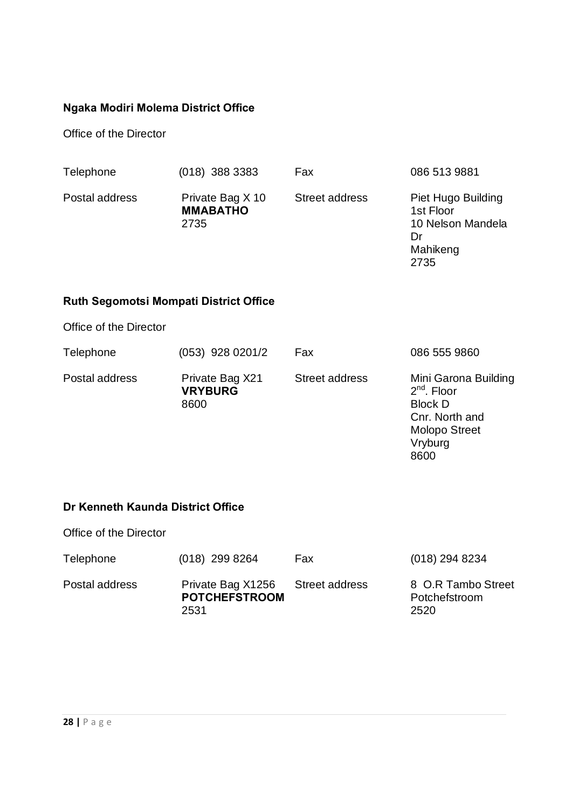## **Ngaka Modiri Molema District Office**

Office of the Director

| Telephone      | $(018)$ 388 3383                            | Fax            | 086 513 9881                                                           |
|----------------|---------------------------------------------|----------------|------------------------------------------------------------------------|
| Postal address | Private Bag X 10<br><b>MMABATHO</b><br>2735 | Street address | Piet Hugo Building<br>1st Floor<br>10 Nelson Mandela<br>Dr<br>Mahikeng |

2735

Molopo Street

Vryburg 8600

## **Ruth Segomotsi Mompati District Office**

Office of the Director

| Telephone      | $(053)$ 928 0201/2                        | Fax                   | 086 555 9860                                                              |
|----------------|-------------------------------------------|-----------------------|---------------------------------------------------------------------------|
| Postal address | Private Bag X21<br><b>VRYBURG</b><br>8600 | <b>Street address</b> | Mini Garona Building<br>$2nd$ . Floor<br><b>Block D</b><br>Cnr. North and |

## **Dr Kenneth Kaunda District Office**

Office of the Director

| Telephone      | $(018)$ 299 8264                                  | Fax            | $(018)$ 294 8234                            |
|----------------|---------------------------------------------------|----------------|---------------------------------------------|
| Postal address | Private Bag X1256<br><b>POTCHEFSTROOM</b><br>2531 | Street address | 8 O.R Tambo Street<br>Potchefstroom<br>2520 |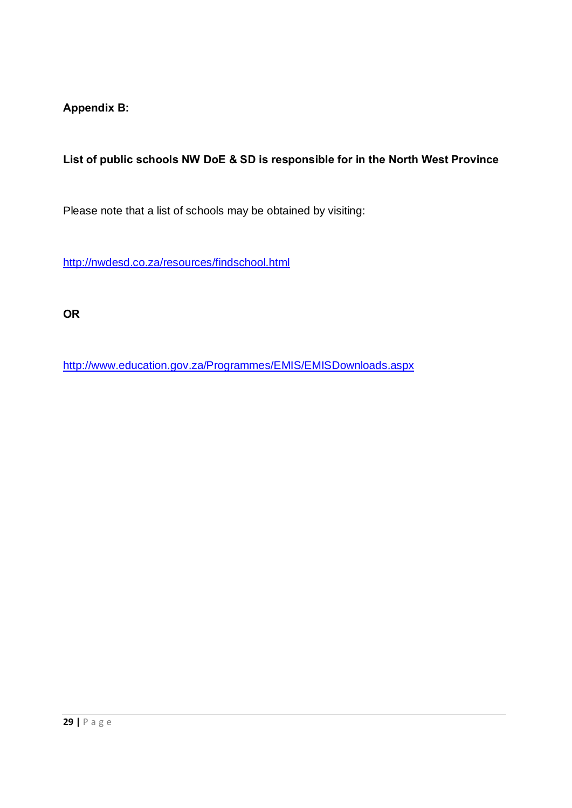**Appendix B:** 

**List of public schools NW DoE & SD is responsible for in the North West Province**

Please note that a list of schools may be obtained by visiting:

http://nwdesd.co.za/resources/findschool.html

**OR**

http://www.education.gov.za/Programmes/EMIS/EMISDownloads.aspx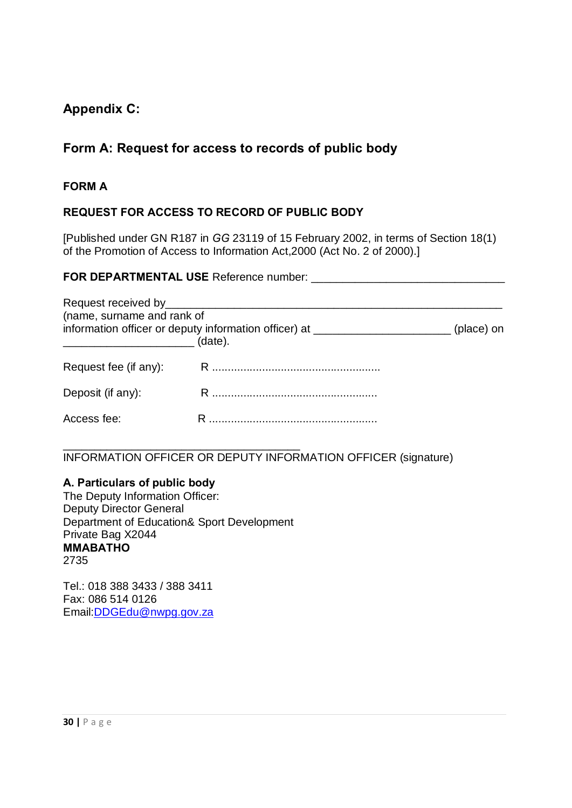## **Appendix C:**

## **Form A: Request for access to records of public body**

#### **FORM A**

## **REQUEST FOR ACCESS TO RECORD OF PUBLIC BODY**

[Published under GN R187 in *GG* 23119 of 15 February 2002, in terms of Section 18(1) of the Promotion of Access to Information Act,2000 (Act No. 2 of 2000).]

## **FOR DEPARTMENTAL USE** Reference number: \_\_\_\_\_\_\_\_\_\_\_\_\_\_\_\_\_\_\_\_\_\_\_\_\_\_\_\_\_\_\_

| (name, surname and rank of | information officer or deputy information officer) at _______________________(place) on<br>(date). |  |
|----------------------------|----------------------------------------------------------------------------------------------------|--|
|                            |                                                                                                    |  |
| Deposit (if any):          |                                                                                                    |  |
| Access fee:                |                                                                                                    |  |

\_\_\_\_\_\_\_\_\_\_\_\_\_\_\_\_\_\_\_\_\_\_\_\_\_\_\_\_\_\_\_\_\_\_\_\_\_\_ INFORMATION OFFICER OR DEPUTY INFORMATION OFFICER (signature)

#### **A. Particulars of public body**

The Deputy Information Officer: Deputy Director General Department of Education& Sport Development Private Bag X2044 **MMABATHO**  2735

Tel.: 018 [388 3433 / 388 3411](mailto:DDGEdu@nwpg.gov.za) Fax: 086 514 0126 Email:DDGEdu@nwpg.gov.za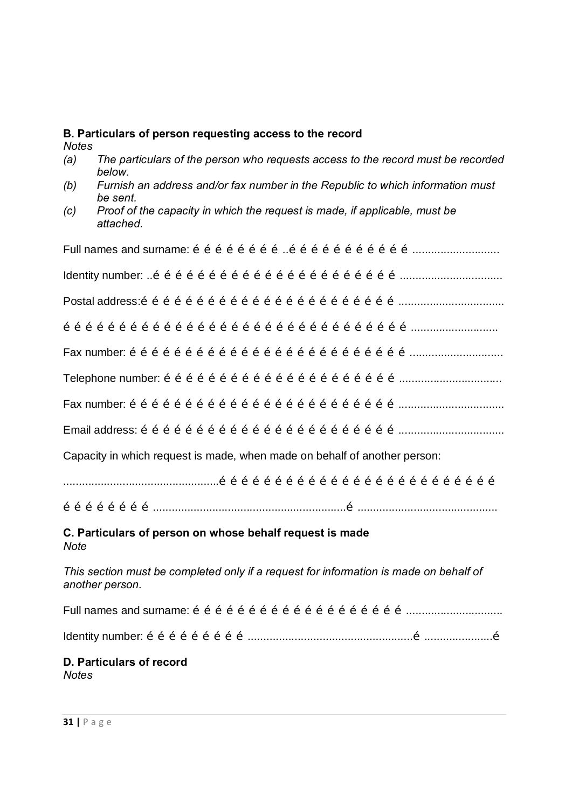# *Notes (a) The particulars of the person who requests access to the record must be recorded below. (b) Furnish an address and/or fax number in the Republic to which information must be sent. (c) Proof of the capacity in which the request is made, if applicable, must be attached.* Full names and surname:  $\tilde{o}$   $\tilde{o}$   $\tilde{o}$   $\tilde{o}$   $\tilde{o}$   $\tilde{o}$   $\tilde{o}$   $\tilde{o}$   $\tilde{o}$   $\tilde{o}$   $\tilde{o}$   $\tilde{o}$   $\tilde{o}$   $\tilde{o}$   $\tilde{o}$   $\tilde{o}$   $\tilde{o}$   $\tilde{o}$   $\ldots$ Identity number: ..…………………………………………………………................................. Postal address:…………………………………………………………….................................. …………………………………………………………………………………............................  $\mathsf{F}$ ax number:  $\tilde{\sigma}$   $\tilde{\sigma}$   $\tilde{\sigma}$   $\tilde{\sigma}$   $\tilde{\sigma}$   $\tilde{\sigma}$   $\tilde{\sigma}$   $\tilde{\sigma}$   $\tilde{\sigma}$   $\tilde{\sigma}$   $\tilde{\sigma}$   $\tilde{\sigma}$   $\tilde{\sigma}$   $\tilde{\sigma}$   $\tilde{\sigma}$   $\tilde{\sigma}$   $\tilde{\sigma}$   $\tilde{\sigma}$   $\tilde{\sigma}$   $\tilde{\sigma}$   $\tilde{\sigma}$   $\tilde{\sigma}$   $\tilde$ Telephone number: ………………………………………………………................................. Fax number: ……………………………………………………………….................................. Email address: …………………………………………………………….................................. Capacity in which request is made, when made on behalf of another person: ..................................................………………………………………………………………… ……………………..............................................................…............................................. **C. Particulars of person on whose behalf request is made** *Note This section must be completed only if a request for information is made on behalf of another person.* Full names and surname: …………………………………………………............................... Identity number: ……………………….....................................................…......................… **D. Particulars of record** *Notes*

**B. Particulars of person requesting access to the record**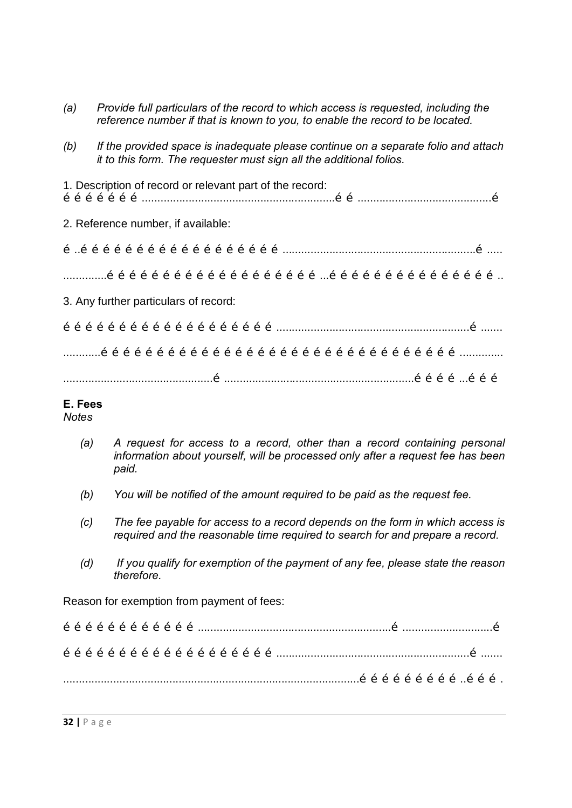| (a) | Provide full particulars of the record to which access is requested, including the<br>reference number if that is known to you, to enable the record to be located. |  |  |  |  |  |  |  |  |  |  |  |  |  |
|-----|---------------------------------------------------------------------------------------------------------------------------------------------------------------------|--|--|--|--|--|--|--|--|--|--|--|--|--|
| (b) | If the provided space is inadequate please continue on a separate folio and attach<br>it to this form. The requester must sign all the additional folios.           |  |  |  |  |  |  |  |  |  |  |  |  |  |
|     | 1. Description of record or relevant part of the record:                                                                                                            |  |  |  |  |  |  |  |  |  |  |  |  |  |
|     | 2. Reference number, if available:                                                                                                                                  |  |  |  |  |  |  |  |  |  |  |  |  |  |
|     |                                                                                                                                                                     |  |  |  |  |  |  |  |  |  |  |  |  |  |
|     |                                                                                                                                                                     |  |  |  |  |  |  |  |  |  |  |  |  |  |
|     | 3. Any further particulars of record:                                                                                                                               |  |  |  |  |  |  |  |  |  |  |  |  |  |
|     |                                                                                                                                                                     |  |  |  |  |  |  |  |  |  |  |  |  |  |
|     |                                                                                                                                                                     |  |  |  |  |  |  |  |  |  |  |  |  |  |
|     |                                                                                                                                                                     |  |  |  |  |  |  |  |  |  |  |  |  |  |

#### **E. Fees**

*Notes*

- *(a) A request for access to a record, other than a record containing personal information about yourself, will be processed only after a request fee has been paid.*
- *(b) You will be notified of the amount required to be paid as the request fee.*
- *(c) The fee payable for access to a record depends on the form in which access is required and the reasonable time required to search for and prepare a record.*
- *(d) If you qualify for exemption of the payment of any fee, please state the reason therefore.*

Reason for exemption from payment of fees:

|  |  |  |  |  |  |  |  |  | $\tilde{o} \  \, \tilde{o} \  \, \tilde{o} \  \, \tilde{o} \  \, \tilde{o} \  \, \tilde{o} \  \, \tilde{o} \  \, \tilde{o} \  \, \tilde{o} \  \, \ldots \  \, \ldots \  \, \ldots \  \, \ldots \  \, \ldots \  \, \ldots \  \, \ldots \  \, \ldots \  \, \ldots \  \, \ldots \  \, \ldots \  \, \ldots \  \, \ldots \  \, \ldots \  \, \ldots \  \, \ldots \  \, \ldots \  \, \ldots \  \, \ldots \  \, \ldots \  \,$ |  |  |  |  |  |  |  |  |
|--|--|--|--|--|--|--|--|--|-----------------------------------------------------------------------------------------------------------------------------------------------------------------------------------------------------------------------------------------------------------------------------------------------------------------------------------------------------------------------------------------------------------------------|--|--|--|--|--|--|--|--|
|  |  |  |  |  |  |  |  |  |                                                                                                                                                                                                                                                                                                                                                                                                                       |  |  |  |  |  |  |  |  |
|  |  |  |  |  |  |  |  |  |                                                                                                                                                                                                                                                                                                                                                                                                                       |  |  |  |  |  |  |  |  |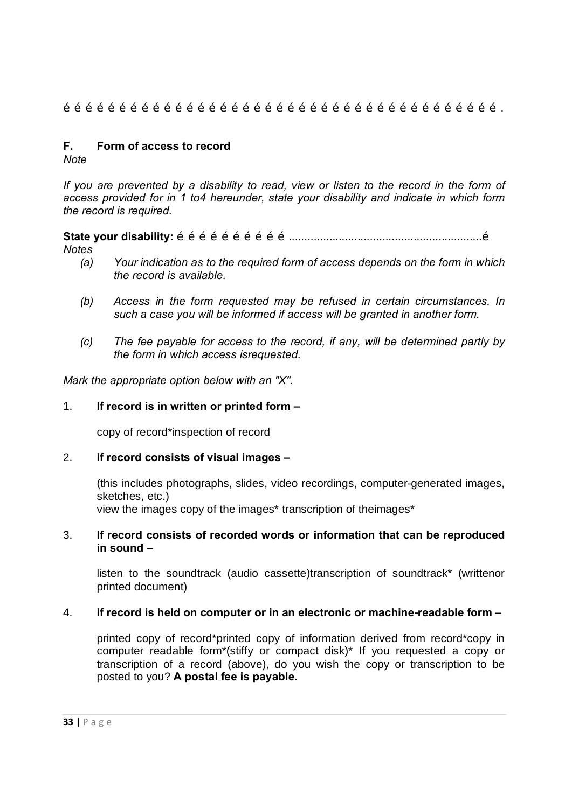$\tilde{\sigma}$   $\tilde{\sigma}$   $\tilde{\sigma}$   $\tilde{\sigma}$   $\tilde{\sigma}$   $\tilde{\sigma}$   $\tilde{\sigma}$   $\tilde{\sigma}$   $\tilde{\sigma}$   $\tilde{\sigma}$   $\tilde{\sigma}$   $\tilde{\sigma}$   $\tilde{\sigma}$   $\tilde{\sigma}$   $\tilde{\sigma}$   $\tilde{\sigma}$   $\tilde{\sigma}$   $\tilde{\sigma}$   $\tilde{\sigma}$   $\tilde{\sigma}$   $\tilde{\sigma}$   $\tilde{\sigma}$   $\tilde{\sigma}$   $\tilde{\sigma}$   $\tilde{\$ 

#### **F. Form of access to record**

*Note*

*If you are prevented by a disability to read, view or listen to the record in the form of access provided for in 1 to4 hereunder, state your disability and indicate in which form the record is required.*

**State your disability:** …………………………..............................................................…

- *Notes*
	- *(a) Your indication as to the required form of access depends on the form in which the record is available.*
	- *(b) Access in the form requested may be refused in certain circumstances. In such a case you will be informed if access will be granted in another form.*
	- *(c) The fee payable for access to the record, if any, will be determined partly by the form in which access isrequested.*

*Mark the appropriate option below with an "X".*

#### 1. **If record is in written or printed form –**

copy of record\*inspection of record

#### 2. **If record consists of visual images –**

(this includes photographs, slides, video recordings, computer-generated images, sketches, etc.) view the images copy of the images\* transcription of theimages\*

#### 3. **If record consists of recorded words or information that can be reproduced in sound –**

listen to the soundtrack (audio cassette)transcription of soundtrack\* (writtenor printed document)

#### 4. **If record is held on computer or in an electronic or machine-readable form –**

printed copy of record\*printed copy of information derived from record\*copy in computer readable form\*(stiffy or compact disk)\* If you requested a copy or transcription of a record (above), do you wish the copy or transcription to be posted to you? **A postal fee is payable.**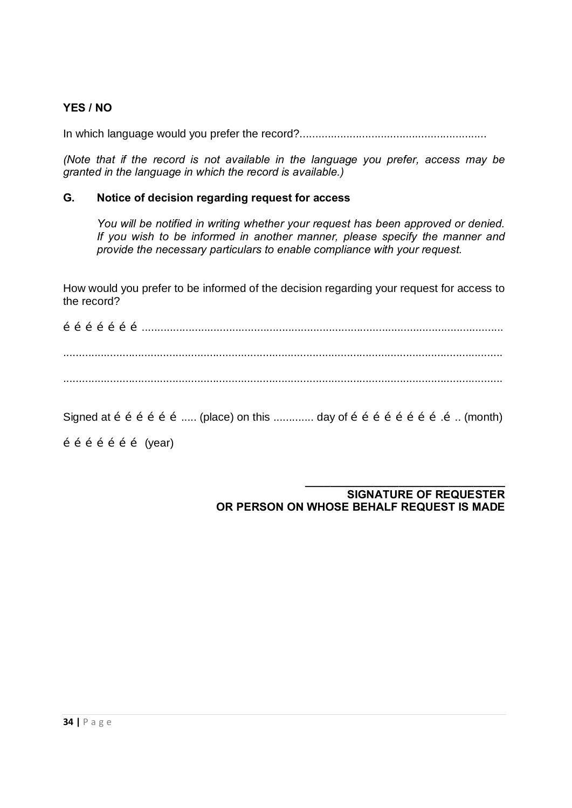#### **YES / NO**

In which language would you prefer the record?............................................................

*(Note that if the record is not available in the language you prefer, access may be granted in the language in which the record is available.)*

#### **G. Notice of decision regarding request for access**

*You will be notified in writing whether your request has been approved or denied. If you wish to be informed in another manner, please specify the manner and provide the necessary particulars to enable compliance with your request.*

How would you prefer to be informed of the decision regarding your request for access to the record?

………………….................................................................................................................... ............................................................................................................................................. .............................................................................................................................................

Signed at  $\tilde{o}$   $\tilde{o}$   $\tilde{o}$   $\tilde{o}$   $\tilde{o}$   $\ldots$  (place) on this ............. day of  $\tilde{o}$   $\tilde{o}$   $\tilde{o}$   $\tilde{o}$   $\tilde{o}$   $\tilde{o}$   $\tilde{o}$   $\ldots$  (month)

 $\tilde{o}$   $\tilde{o}$   $\tilde{o}$   $\tilde{o}$   $\tilde{o}$  (year)

#### **SIGNATURE OF REQUESTER OR PERSON ON WHOSE BEHALF REQUEST IS MADE**

**\_\_\_\_\_\_\_\_\_\_\_\_\_\_\_\_\_\_\_\_\_\_\_\_\_\_\_\_\_\_\_\_**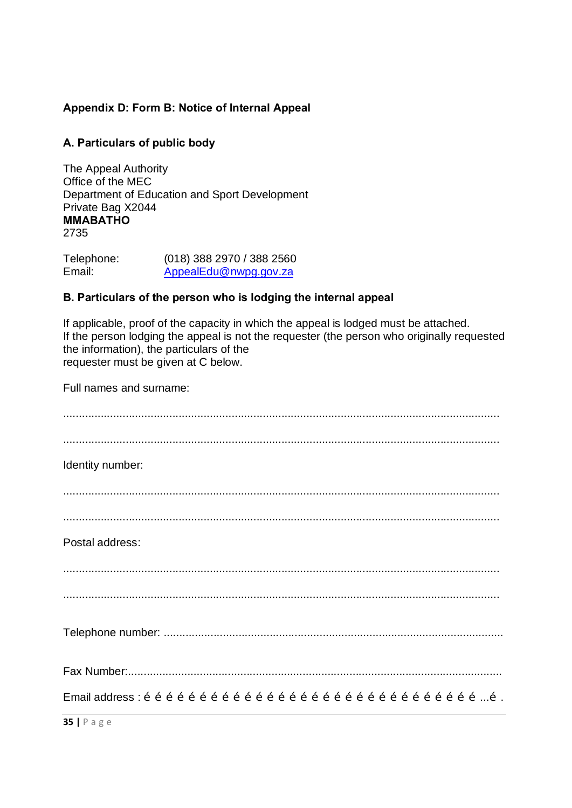## **Appendix D: Form B: Notice of Internal Appeal**

#### **A. Particulars of public body**

The Appeal Authority Office of the MEC Department of Education and Sport Development Private Bag X2044 **MMABATHO** 2735

Telephone: (018) 388 2970 / 388 2560<br>
Email: AppealEdu@nwpg.gov.za AppealEdu@nwpg.gov.za

#### **B. Particulars of the person who is lodging the internal appeal**

If applicable, proof of the capacity in which the appeal is lodged must be attached. If the person lodging the appeal is not the requester (the person who originally requested the information), the particulars of the requester must be given at C below.

Full names and surname:

| Identity number:                                                                                                                                                                                                                                                                                                                       |
|----------------------------------------------------------------------------------------------------------------------------------------------------------------------------------------------------------------------------------------------------------------------------------------------------------------------------------------|
|                                                                                                                                                                                                                                                                                                                                        |
|                                                                                                                                                                                                                                                                                                                                        |
| Postal address:                                                                                                                                                                                                                                                                                                                        |
|                                                                                                                                                                                                                                                                                                                                        |
|                                                                                                                                                                                                                                                                                                                                        |
|                                                                                                                                                                                                                                                                                                                                        |
|                                                                                                                                                                                                                                                                                                                                        |
| Email address : $\tilde{o}$ $\tilde{o}$ $\tilde{o}$ $\tilde{o}$ $\tilde{o}$ $\tilde{o}$ $\tilde{o}$ $\tilde{o}$ $\tilde{o}$ $\tilde{o}$ $\tilde{o}$ $\tilde{o}$ $\tilde{o}$ $\tilde{o}$ $\tilde{o}$ $\tilde{o}$ $\tilde{o}$ $\tilde{o}$ $\tilde{o}$ $\tilde{o}$ $\tilde{o}$ $\tilde{o}$ $\tilde{o}$ $\tilde{o}$ $\tilde{o}$ $\tilde{o$ |
| $35$   Page                                                                                                                                                                                                                                                                                                                            |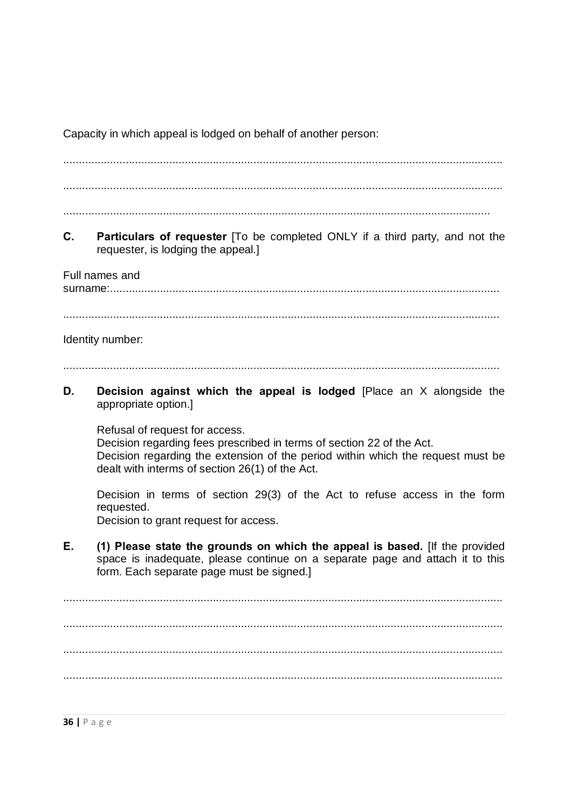Capacity in which appeal is lodged on behalf of another person:

.............................................................................................................................................

.............................................................................................................................................

.........................................................................................................................................

**C. Particulars of requester** [To be completed ONLY if a third party, and not the requester, is lodging the appeal.]

Full names and

surname:.............................................................................................................................

............................................................................................................................................

#### Identity number:

............................................................................................................................................

**D. Decision against which the appeal is lodged** [Place an X alongside the appropriate option.]

Refusal of request for access. Decision regarding fees prescribed in terms of section 22 of the Act. Decision regarding the extension of the period within which the request must be dealt with interms of section 26(1) of the Act.

Decision in terms of section 29(3) of the Act to refuse access in the form requested.

Decision to grant request for access.

**E. (1) Please state the grounds on which the appeal is based.** [If the provided space is inadequate, please continue on a separate page and attach it to this form. Each separate page must be signed.]

............................................................................................................................................. ............................................................................................................................................. ............................................................................................................................................. .............................................................................................................................................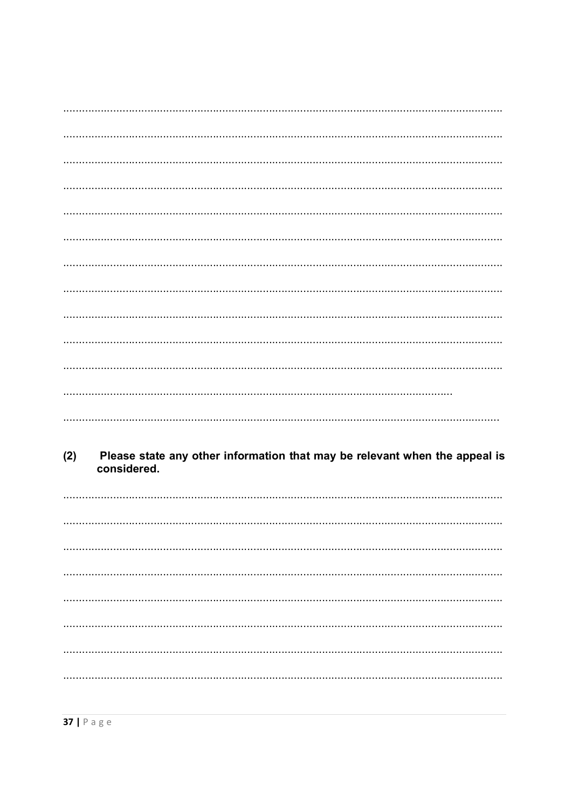| (2) | considered. | Please state any other information that may be relevant when the appeal is |
|-----|-------------|----------------------------------------------------------------------------|
|     |             |                                                                            |
|     |             |                                                                            |
|     |             |                                                                            |
|     |             |                                                                            |
|     |             |                                                                            |
|     |             |                                                                            |
|     |             |                                                                            |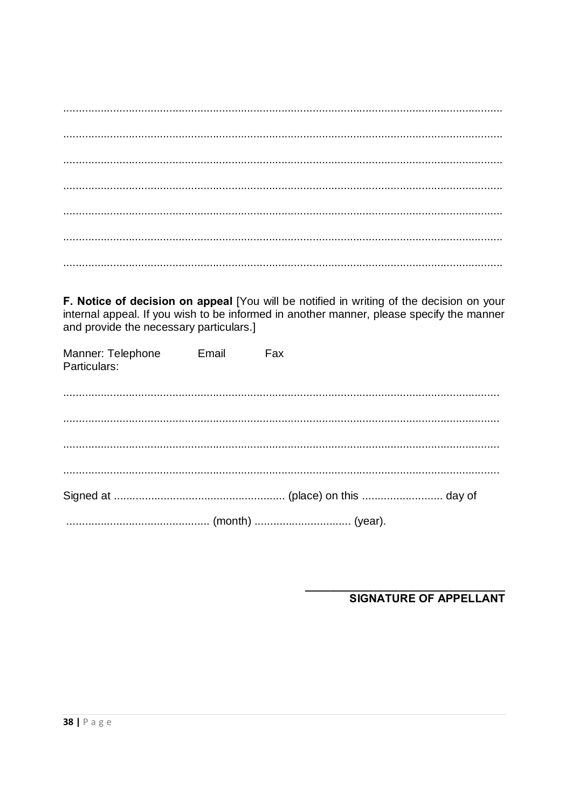F. Notice of decision on appeal [You will be notified in writing of the decision on your internal appeal. If you wish to be informed in another manner, please specify the manner and provide the necessary particulars.]

| Manner: Telephonet Emailt Faxt<br>Particulars: |  |
|------------------------------------------------|--|
|                                                |  |
|                                                |  |
|                                                |  |
|                                                |  |
|                                                |  |

**SIGNATURE OF APPELLANT**